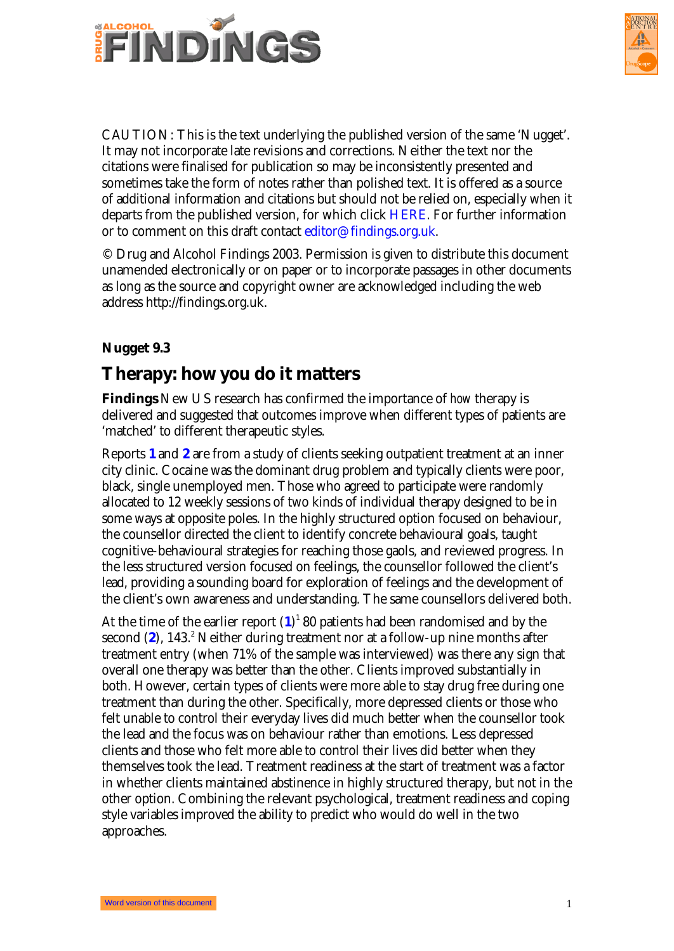



CAUTION: This is the text underlying the published version of the same 'Nugget'. It may not incorporate late revisions and corrections. Neither the text nor the citations were finalised for publication so may be inconsistently presented and sometimes take the form of notes rather than polished text. It is offered as a source of additional information and citations but should not be relied on, especially when it departs from the published version, for which click HERE. For further information or to comment on this draft contact editor@findings.org.uk.

© Drug and Alcohol Findings 2003. Permission is given to distribute this document unamended electronically or on paper or to incorporate passages in other documents as long as the source and copyright owner are acknowledged including the web address http://findings.org.uk.

## **Nugget 9.3**

## **Therapy: how you do it matters**

**Findings** New US research has confirmed the importance of *how* therapy is delivered and suggested that outcomes improve when different types of patients are 'matched' to different therapeutic styles.

Reports **1** and **2** are from a study of clients seeking outpatient treatment at an inner city cli[nic. Cocain](#page-2-0)e was the dominant drug problem and typically clients were poor, black, single unemployed men. Those who agreed to participate were randomly allocated to 12 weekly sessions of two kinds of individual therapy designed to be in some ways at opposite poles. In the highly structured option focused on behaviour, the counsellor directed the client to identify concrete behavioural goals, taught cognitive-behavioural strategies for reaching those gaols, and reviewed progress. In the less structured version focused on feelings, the counsellor followed the client's lead, providing a sounding board for exploration of feelings and the development of the client's own awareness and understanding. The same counsellors delivered both.

At the time of the earlier report  $(1)^1$  80 patients had been randomised and by the second (2), 143.<sup>2</sup> Neither during treatment nor at a follow-up nine months after treatment entry (when 71% of the sample was interviewed) was there any sign that overall one therapy was better than the other. Clients improved substantially in both. However, certain types of clients were more able to stay drug free during one treatment than during the other. Specifically, more depressed clients or those who felt unable to control their everyday lives did much better when the counsellor took the lead and the focus was on behaviour rather than emotions. Less depressed clients and those who felt more able to control their lives did better when they themselves took the lead. Treatment readiness at the start of treatment was a factor in whether clients maintained abstinence in highly structured therapy, but not in the other option. Combining the relevant psychological, treatment readiness and coping style variables improved the ability to predict who would do well in the two approaches.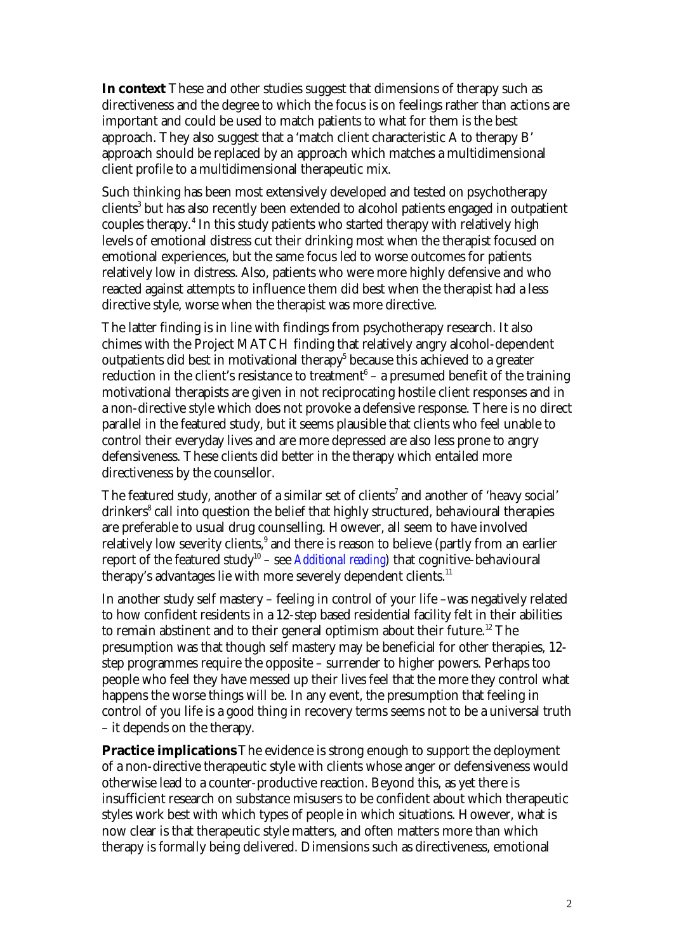**In context** These and other studies suggest that dimensions of therapy such as directiveness and the degree to which the focus is on feelings rather than actions are important and could be used to match patients to what for them is the best approach. They also suggest that a 'match client characteristic A to therapy B' approach should be replaced by an approach which matches a multidimensional client profile to a multidimensional therapeutic mix.

Such thinking has been most extensively developed and tested on psychotherapy clients $^3$  but has also recently been extended to alcohol patients engaged in outpatient couples therapy.<sup>4</sup> In this study patients who started therapy with relatively high levels of emotional distress cut their drinking most when the therapist focused on emotional experiences, but the same focus led to worse outcomes for patients relatively low in distress. Also, patients who were more highly defensive and who reacted against attempts to influence them did best when the therapist had a less directive style, worse when the therapist was more directive.

The latter finding is in line with findings from psychotherapy research. It also chimes with the Project MATCH finding that relatively angry alcohol-dependent outpatients did best in motivational therapy $^5$  because this achieved to a greater reduction in the client's resistance to treatment $^6$  – a presumed benefit of the training motivational therapists are given in not reciprocating hostile client responses and in a non-directive style which does not provoke a defensive response. There is no direct parallel in the featured study, but it seems plausible that clients who feel unable to control their everyday lives and are more depressed are also less prone to angry defensiveness. These clients did better in the therapy which entailed more directiveness by the counsellor.

The featured study, another of a similar set of clients<sup>7</sup> and another of 'heavy social' drinkers<sup>8</sup> call into question the belief that highly structured, behavioural therapies are preferable to usual drug counselling. However, all seem to have involved relatively low severity clients, $^9$  and there is reason to believe (partly from an earlier report of the featured study <sup>10</sup> – see *[Additional reading](#page-2-0)*) that cognitive-behavioural therapy's advantages lie with more severely dependent clients.<sup>11</sup>

In another study self mastery – feeling in control of your life –was negatively related to how confident residents in a 12-step based residential facility felt in their abilities to remain abstinent and to their general optimism about their future.<sup>12</sup> The presumption was that though self mastery may be beneficial for other therapies, 12 step programmes require the opposite – surrender to higher powers. Perhaps too people who feel they have messed up their lives feel that the more they control what happens the worse things will be. In any event, the presumption that feeling in control of you life is a good thing in recovery terms seems not to be a universal truth – it depends on the therapy.

**Practice implications** The evidence is strong enough to support the deployment of a non-directive therapeutic style with clients whose anger or defensiveness would otherwise lead to a counter-productive reaction. Beyond this, as yet there is insufficient research on substance misusers to be confident about which therapeutic styles work best with which types of people in which situations. However, what is now clear is that therapeutic style matters, and often matters more than which therapy is formally being delivered. Dimensions such as directiveness, emotional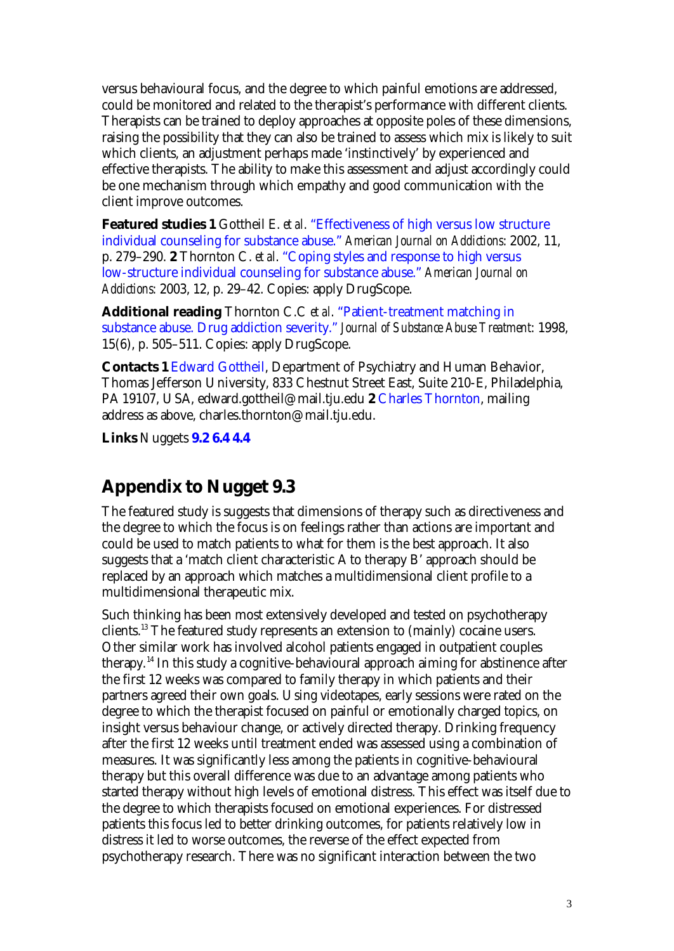<span id="page-2-0"></span>versus behavioural focus, and the degree to which painful emotions are addressed, could be monitored and related to the therapist's performance with different clients. Therapists can be trained to deploy approaches at opposite poles of these dimensions, raising the possibility that they can also be trained to assess which mix is likely to suit which clients, an adjustment perhaps made 'instinctively' by experienced and effective therapists. The ability to make this assessment and adjust accordingly could be one mechanism through which empathy and good communication with the client improve outcomes.

**Featured studies 1** Gottheil E. *et al*. "Effectiveness of high versus low structure individual counseling for substance abuse." *American Journal on Addictions*: 2002, 11, p. 279–290. **2** Thornton C. *et al*. "Coping styles and response to high versus low-structure individual counseling for substance abuse." *American Journal on Addictions*: 2003, 12, p. 29–42. Copies: apply DrugScope.

**Additional reading** Thornton C.C *et al*. "Patient-treatment matching in substance abuse. Drug addiction severity." *Journal of Substance Abuse Treatment*: 1998, 15(6), p. 505–511. Copies: apply DrugScope.

**Contacts 1** Edward Gottheil, Department of Psychiatry and Human Behavior, Thomas Jefferson University, 833 Chestnut Street East, Suite 210-E, Philadelphia, PA 19107, USA, edward.gottheil@mail.tju.edu **2** Charles Thornton, mailing address as above, charles.thornton@mail.tju.edu.

**Links** Nuggets **9.2 6.4 4.4**

## **Appendix to Nugget 9.3**

The featured study is suggests that dimensions of therapy such as directiveness and the degree to which the focus is on feelings rather than actions are important and could be used to match patients to what for them is the best approach. It also suggests that a 'match client characteristic A to therapy B' approach should be replaced by an approach which matches a multidimensional client profile to a multidimensional therapeutic mix.

Such thinking has been most extensively developed and tested on psychotherapy clients.<sup>13</sup> The featured study represents an extension to (mainly) cocaine users. Other similar work has involved alcohol patients engaged in outpatient couples therapy.<sup>14</sup> In this study a cognitive-behavioural approach aiming for abstinence after the first 12 weeks was compared to family therapy in which patients and their partners agreed their own goals. Using videotapes, early sessions were rated on the degree to which the therapist focused on painful or emotionally charged topics, on insight versus behaviour change, or actively directed therapy. Drinking frequency after the first 12 weeks until treatment ended was assessed using a combination of measures. It was significantly less among the patients in cognitive-behavioural therapy but this overall difference was due to an advantage among patients who started therapy without high levels of emotional distress. This effect was itself due to the degree to which therapists focused on emotional experiences. For distressed patients this focus led to better drinking outcomes, for patients relatively low in distress it led to worse outcomes, the reverse of the effect expected from psychotherapy research. There was no significant interaction between the two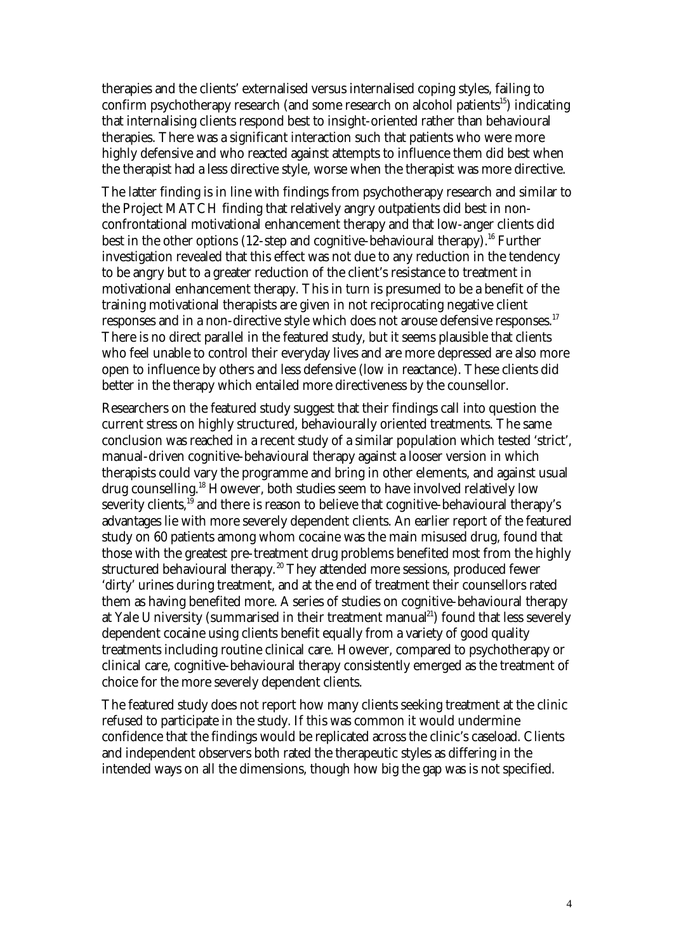therapies and the clients' externalised versus internalised coping styles, failing to confirm psychotherapy research (and some research on alcohol patients<sup>15</sup>) indicating that internalising clients respond best to insight-oriented rather than behavioural therapies. There was a significant interaction such that patients who were more highly defensive and who reacted against attempts to influence them did best when the therapist had a less directive style, worse when the therapist was more directive.

The latter finding is in line with findings from psychotherapy research and similar to the Project MATCH finding that relatively angry outpatients did best in nonconfrontational motivational enhancement therapy and that low-anger clients did best in the other options (12-step and cognitive-behavioural therapy).<sup>16</sup> Further investigation revealed that this effect was not due to any reduction in the tendency to be angry but to a greater reduction of the client's resistance to treatment in motivational enhancement therapy. This in turn is presumed to be a benefit of the training motivational therapists are given in not reciprocating negative client responses and in a non-directive style which does not arouse defensive responses.<sup>17</sup> There is no direct parallel in the featured study, but it seems plausible that clients who feel unable to control their everyday lives and are more depressed are also more open to influence by others and less defensive (low in reactance). These clients did better in the therapy which entailed more directiveness by the counsellor.

Researchers on the featured study suggest that their findings call into question the current stress on highly structured, behaviourally oriented treatments. The same conclusion was reached in a recent study of a similar population which tested 'strict', manual-driven cognitive-behavioural therapy against a looser version in which therapists could vary the programme and bring in other elements, and against usual drug counselling.<sup>18</sup> However, both studies seem to have involved relatively low severity clients, $1^{19}$  and there is reason to believe that cognitive-behavioural therapy's advantages lie with more severely dependent clients. An earlier report of the featured study on 60 patients among whom cocaine was the main misused drug, found that those with the greatest pre-treatment drug problems benefited most from the highly structured behavioural therapy.<sup>20</sup> They attended more sessions, produced fewer 'dirty' urines during treatment, and at the end of treatment their counsellors rated them as having benefited more. A series of studies on cognitive-behavioural therapy at Yale University (summarised in their treatment manual<sup>21</sup>) found that less severely dependent cocaine using clients benefit equally from a variety of good quality treatments including routine clinical care. However, compared to psychotherapy or clinical care, cognitive-behavioural therapy consistently emerged as the treatment of choice for the more severely dependent clients.

The featured study does not report how many clients seeking treatment at the clinic refused to participate in the study. If this was common it would undermine confidence that the findings would be replicated across the clinic's caseload. Clients and independent observers both rated the therapeutic styles as differing in the intended ways on all the dimensions, though how big the gap was is not specified.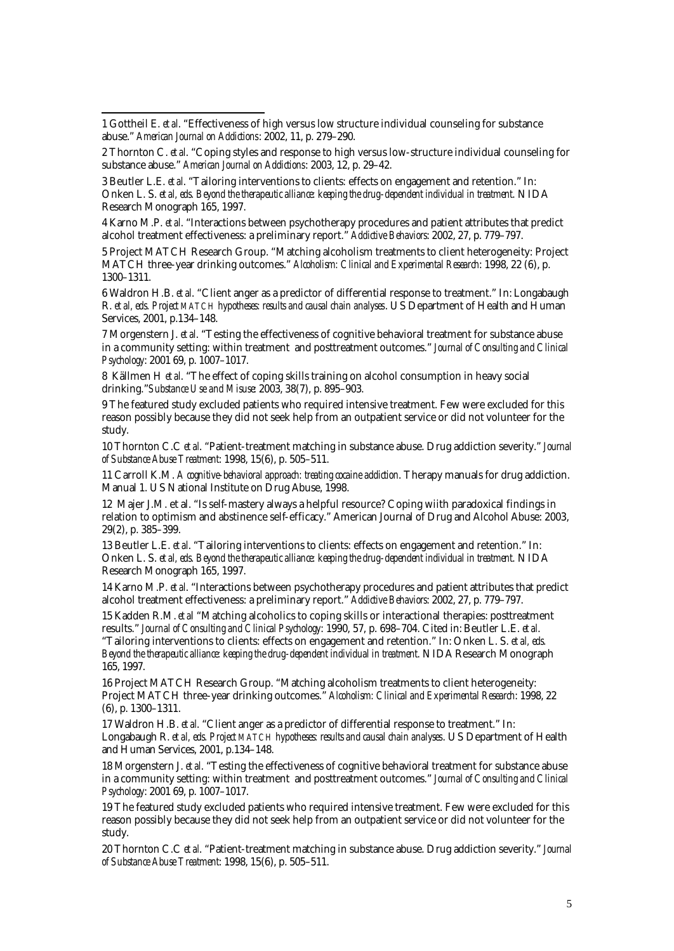l

3 Beutler L.E. *et al*. "Tailoring interventions to clients: effects on engagement and retention." In: Onken L. S. *et al, eds. Beyond the therapeutic alliance: keeping the drug-dependent individual in treatment*. NIDA Research Monograph 165, 1997.

4 Karno M.P. *et al*. "Interactions between psychotherapy procedures and patient attributes that predict alcohol treatment effectiveness: a preliminary report." *Addictive Behaviors*: 2002, 27, p. 779–797.

5 Project MATCH Research Group. "Matching alcoholism treatments to client heterogeneity: Project MATCH three-year drinking outcomes." *Alcoholism: Clinical and Experimental Research*: 1998, 22 (6), p. 1300–1311.

6 Waldron H.B. *et al*. "Client anger as a predictor of differential response to treatment." In: Longabaugh R. *et al, eds. Project MATCH hypotheses: results and causal chain analyses*. US Department of Health and Human Services, 2001, p.134–148.

7 Morgenstern J. *et al*. "Testing the effectiveness of cognitive behavioral treatment for substance abuse in a community setting: within treatment and posttreatment outcomes." *Journal of Consulting and Clinical Psychology*: 2001 69, p. 1007–1017.

8 Källmen H *et al*. "The effect of coping skills training on alcohol consumption in heavy social drinking."*Substance Use and Misuse*: 2003, 38(7), p. 895–903.

9 The featured study excluded patients who required intensive treatment. Few were excluded for this reason possibly because they did not seek help from an outpatient service or did not volunteer for the study.

10 Thornton C.C *et al*. "Patient-treatment matching in substance abuse. Drug addiction severity." *Journal of Substance Abuse Treatment*: 1998, 15(6), p. 505–511.

11 Carroll K.M. *A cognitive-behavioral approach: treating cocaine addiction*. Therapy manuals for drug addiction. Manual 1. US National Institute on Drug Abuse, 1998.

12 Majer J.M. et al. "Is self-mastery always a helpful resource? Coping wiith paradoxical findings in relation to optimism and abstinence self-efficacy." American Journal of Drug and Alcohol Abuse: 2003, 29(2), p. 385–399.

13 Beutler L.E. *et al*. "Tailoring interventions to clients: effects on engagement and retention." In: Onken L. S. *et al, eds. Beyond the therapeutic alliance: keeping the drug-dependent individual in treatment*. NIDA Research Monograph 165, 1997.

14 Karno M.P. *et al*. "Interactions between psychotherapy procedures and patient attributes that predict alcohol treatment effectiveness: a preliminary report." *Addictive Behaviors*: 2002, 27, p. 779–797.

15 Kadden R.M. *et a*l "Matching alcoholics to coping skills or interactional therapies: posttreatment results." *Journal of Consulting and Clinical Psychology*: 1990, 57, p. 698–704. Cited in: Beutler L.E. *et al*. "Tailoring interventions to clients: effects on engagement and retention." In: Onken L. S. *et al, eds. Beyond the therapeutic alliance: keeping the drug-dependent individual in treatment*. NIDA Research Monograph 165, 1997.

16 Project MATCH Research Group. "Matching alcoholism treatments to client heterogeneity: Project MATCH three-year drinking outcomes." *Alcoholism: Clinical and Experimental Research*: 1998, 22 (6), p. 1300–1311.

17 Waldron H.B. *et al*. "Client anger as a predictor of differential response to treatment." In: Longabaugh R. *et al, eds. Project MATCH hypotheses: results and causal chain analyses*. US Department of Health and Human Services, 2001, p.134–148.

18 Morgenstern J. *et al*. "Testing the effectiveness of cognitive behavioral treatment for substance abuse in a community setting: within treatment and posttreatment outcomes." *Journal of Consulting and Clinical Psychology*: 2001 69, p. 1007–1017.

19 The featured study excluded patients who required intensive treatment. Few were excluded for this reason possibly because they did not seek help from an outpatient service or did not volunteer for the study.

20 Thornton C.C *et al*. "Patient-treatment matching in substance abuse. Drug addiction severity." *Journal of Substance Abuse Treatment*: 1998, 15(6), p. 505–511.

<sup>1</sup> Gottheil E. *et al*. "Effectiveness of high versus low structure individual counseling for substance abuse." *American Journal on Addictions*: 2002, 11, p. 279–290.

<sup>2</sup> Thornton C. *et al*. "Coping styles and response to high versus low-structure individual counseling for substance abuse." *American Journal on Addictions*: 2003, 12, p. 29–42.